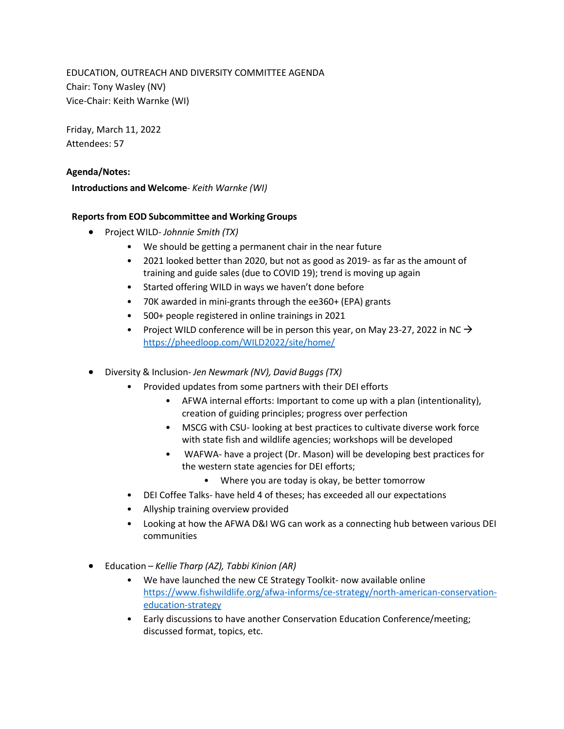EDUCATION, OUTREACH AND DIVERSITY COMMITTEE AGENDA Chair: Tony Wasley (NV) Vice-Chair: Keith Warnke (WI)

Friday, March 11, 2022 Attendees: 57

### **Agenda/Notes:**

**Introductions and Welcome**- *Keith Warnke (WI)*

### **Reportsfrom EOD Subcommittee and Working Groups**

- Project WILD- *Johnnie Smith (TX)*
	- We should be getting a permanent chair in the near future
	- 2021 looked better than 2020, but not as good as 2019- as far as the amount of training and guide sales (due to COVID 19); trend is moving up again
	- Started offering WILD in ways we haven't done before
	- 70K awarded in mini-grants through the ee360+ (EPA) grants
	- 500+ people registered in online trainings in 2021
	- Project WILD conference will be in person this year, on May 23-27, 2022 in NC  $\rightarrow$ <https://pheedloop.com/WILD2022/site/home/>
- Diversity & Inclusion- *Jen Newmark (NV), David Buggs (TX)*
	- Provided updates from some partners with their DEI efforts
		- AFWA internal efforts: Important to come up with a plan (intentionality), creation of guiding principles; progress over perfection
		- MSCG with CSU- looking at best practices to cultivate diverse work force with state fish and wildlife agencies; workshops will be developed
		- WAFWA- have a project (Dr. Mason) will be developing best practices for the western state agencies for DEI efforts;
			- Where you are today is okay, be better tomorrow
	- DEI Coffee Talks- have held 4 of theses; has exceeded all our expectations
	- Allyship training overview provided
	- Looking at how the AFWA D&I WG can work as a connecting hub between various DEI communities
- Education *Kellie Tharp (AZ), Tabbi Kinion (AR)*
	- We have launched the new CE Strategy Toolkit- now available online [https://www.fishwildlife.org/afwa-informs/ce-strategy/north-american-conservation](https://www.fishwildlife.org/afwa-informs/ce-strategy/north-american-conservation-education-strategy)[education-strategy](https://www.fishwildlife.org/afwa-informs/ce-strategy/north-american-conservation-education-strategy)
	- Early discussions to have another Conservation Education Conference/meeting; discussed format, topics, etc.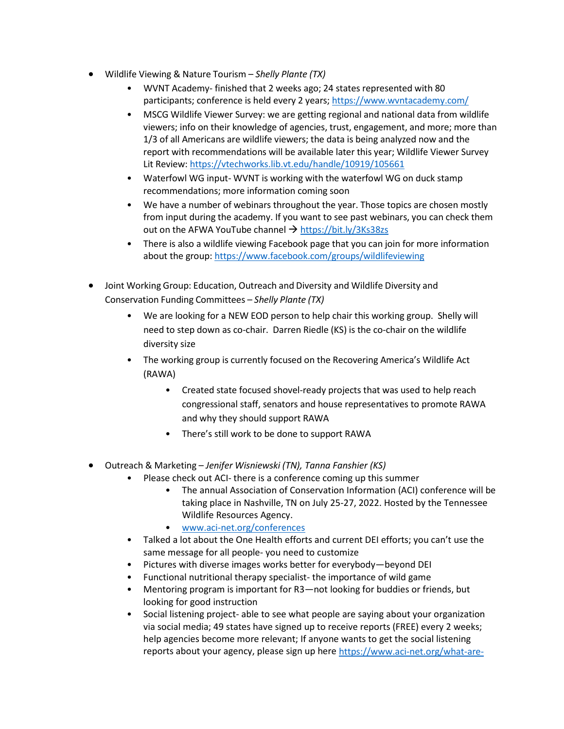- Wildlife Viewing & Nature Tourism *Shelly Plante (TX)*
	- WVNT Academy- finished that 2 weeks ago; 24 states represented with 80 participants; conference is held every 2 years[; https://www.wvntacademy.com/](https://www.wvntacademy.com/)
	- MSCG Wildlife Viewer Survey: we are getting regional and national data from wildlife viewers; info on their knowledge of agencies, trust, engagement, and more; more than 1/3 of all Americans are wildlife viewers; the data is being analyzed now and the report with recommendations will be available later this year; Wildlife Viewer Survey Lit Review:<https://vtechworks.lib.vt.edu/handle/10919/105661>
	- Waterfowl WG input- WVNT is working with the waterfowl WG on duck stamp recommendations; more information coming soon
	- We have a number of webinars throughout the year. Those topics are chosen mostly from input during the academy. If you want to see past webinars, you can check them out on the AFWA YouTube channel  $\rightarrow$  <https://bit.ly/3Ks38zs>
	- There is also a wildlife viewing Facebook page that you can join for more information about the group:<https://www.facebook.com/groups/wildlifeviewing>
- Joint Working Group: Education, Outreach and Diversity and Wildlife Diversity and Conservation Funding Committees – *Shelly Plante (TX)*
	- We are looking for a NEW EOD person to help chair this working group. Shelly will need to step down as co-chair. Darren Riedle (KS) is the co-chair on the wildlife diversity size
	- The working group is currently focused on the Recovering America's Wildlife Act (RAWA)
		- Created state focused shovel-ready projects that was used to help reach congressional staff, senators and house representatives to promote RAWA and why they should support RAWA
		- There's still work to be done to support RAWA
- Outreach & Marketing *Jenifer Wisniewski (TN), Tanna Fanshier (KS)*
	- Please check out ACI- there is a conference coming up this summer
		- The annual Association of Conservation Information (ACI) conference will be taking place in Nashville, TN on July 25-27, 2022. Hosted by the Tennessee Wildlife Resources Agency.
		- [www.aci-net.org/conferences](http://www.aci-net.org/conferences)
	- Talked a lot about the One Health efforts and current DEI efforts; you can't use the same message for all people- you need to customize
	- Pictures with diverse images works better for everybody—beyond DEI
	- Functional nutritional therapy specialist- the importance of wild game
	- Mentoring program is important for R3—not looking for buddies or friends, but looking for good instruction
	- Social listening project- able to see what people are saying about your organization via social media; 49 states have signed up to receive reports (FREE) every 2 weeks; help agencies become more relevant; If anyone wants to get the social listening reports about your agency, please sign up here [https://www.aci-net.org/what-are-](https://www.aci-net.org/what-are-they-saying-about-your-agency-on-social-media/)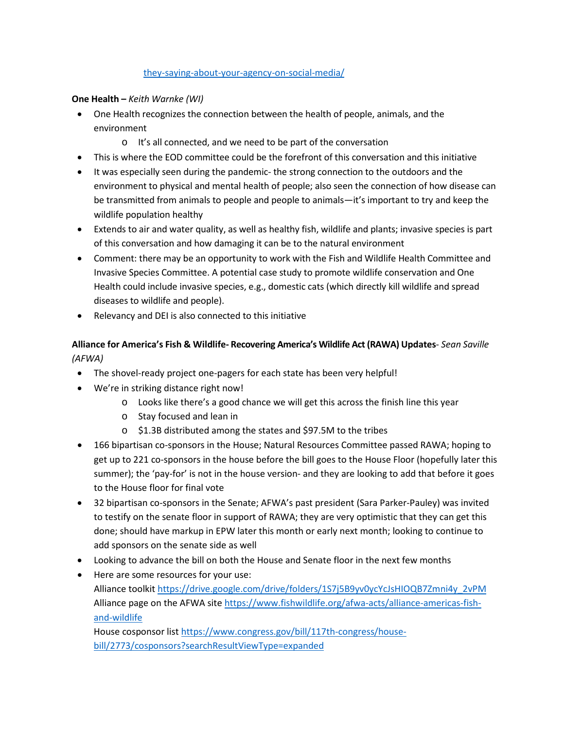### [they-saying-about-your-agency-on-social-media/](https://www.aci-net.org/what-are-they-saying-about-your-agency-on-social-media/)

## **One Health –** *Keith Warnke (WI)*

- One Health recognizes the connection between the health of people, animals, and the environment
	- o It's all connected, and we need to be part of the conversation
- This is where the EOD committee could be the forefront of this conversation and this initiative
- It was especially seen during the pandemic- the strong connection to the outdoors and the environment to physical and mental health of people; also seen the connection of how disease can be transmitted from animals to people and people to animals—it's important to try and keep the wildlife population healthy
- Extends to air and water quality, as well as healthy fish, wildlife and plants; invasive species is part of this conversation and how damaging it can be to the natural environment
- Comment: there may be an opportunity to work with the Fish and Wildlife Health Committee and Invasive Species Committee. A potential case study to promote wildlife conservation and One Health could include invasive species, e.g., domestic cats (which directly kill wildlife and spread diseases to wildlife and people).
- Relevancy and DEI is also connected to this initiative

# **Alliance for America's Fish & Wildlife- Recovering America's Wildlife Act (RAWA) Updates**- *Sean Saville (AFWA)*

- The shovel-ready project one-pagers for each state has been very helpful!
- We're in striking distance right now!
	- o Looks like there's a good chance we will get this across the finish line this year
	- o Stay focused and lean in
	- o \$1.3B distributed among the states and \$97.5M to the tribes
- 166 bipartisan co-sponsors in the House; Natural Resources Committee passed RAWA; hoping to get up to 221 co-sponsors in the house before the bill goes to the House Floor (hopefully later this summer); the 'pay-for' is not in the house version- and they are looking to add that before it goes to the House floor for final vote
- 32 bipartisan co-sponsors in the Senate; AFWA's past president (Sara Parker-Pauley) was invited to testify on the senate floor in support of RAWA; they are very optimistic that they can get this done; should have markup in EPW later this month or early next month; looking to continue to add sponsors on the senate side as well
- Looking to advance the bill on both the House and Senate floor in the next few months
- Here are some resources for your use: Alliance toolkit [https://drive.google.com/drive/folders/1S7j5B9yv0ycYcJsHIOQB7Zmni4y\\_2vPM](https://drive.google.com/drive/folders/1S7j5B9yv0ycYcJsHIOQB7Zmni4y_2vPM)  Alliance page on the AFWA sit[e https://www.fishwildlife.org/afwa-acts/alliance-americas-fish](https://www.fishwildlife.org/afwa-acts/alliance-americas-fish-and-wildlife)[and-wildlife](https://www.fishwildlife.org/afwa-acts/alliance-americas-fish-and-wildlife)

House cosponsor lis[t https://www.congress.gov/bill/117th-congress/house](https://www.congress.gov/bill/117th-congress/house-bill/2773/cosponsors?searchResultViewType=expanded)[bill/2773/cosponsors?searchResultViewType=expanded](https://www.congress.gov/bill/117th-congress/house-bill/2773/cosponsors?searchResultViewType=expanded)